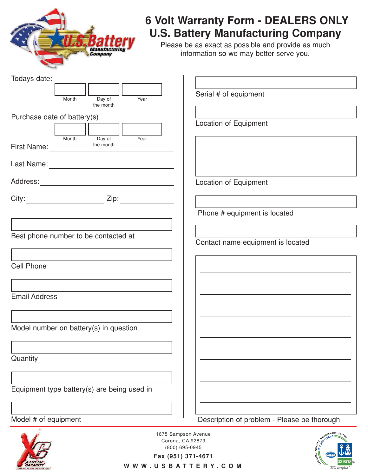

## **6 Volt Warranty Form - DEALERS ONLY U.S. Battery Manufacturing Company**

Please be as exact as possible and provide as much information so we may better serve you.

| Todays date:                                    |                                             |
|-------------------------------------------------|---------------------------------------------|
|                                                 |                                             |
| Year<br>Month<br>Day of                         | Serial # of equipment                       |
| the month                                       |                                             |
| Purchase date of battery(s)                     |                                             |
|                                                 | Location of Equipment                       |
| Year<br>Month<br>Day of                         |                                             |
| the month<br>First Name: the more than the more |                                             |
|                                                 |                                             |
|                                                 |                                             |
|                                                 |                                             |
|                                                 | Location of Equipment                       |
|                                                 |                                             |
|                                                 |                                             |
|                                                 | Phone # equipment is located                |
|                                                 |                                             |
|                                                 |                                             |
| Best phone number to be contacted at            | Contact name equipment is located           |
|                                                 |                                             |
|                                                 |                                             |
| <b>Cell Phone</b>                               |                                             |
|                                                 |                                             |
|                                                 |                                             |
| <b>Email Address</b>                            |                                             |
|                                                 |                                             |
|                                                 |                                             |
| Model number on battery(s) in question          |                                             |
|                                                 |                                             |
|                                                 |                                             |
|                                                 |                                             |
| Quantity                                        |                                             |
|                                                 |                                             |
|                                                 |                                             |
| Equipment type battery(s) are being used in     |                                             |
|                                                 |                                             |
|                                                 |                                             |
| Model # of equipment                            | Description of problem - Please be thorough |
| 1675 Sampson Avenue                             | MANAGEMENT System                           |
| Corona, CA 92879                                | $3^{12000}$                                 |
| (800) 695-0945                                  |                                             |

**Fax (951) 371-4671**

**®**

WWW.USBATTERY.COM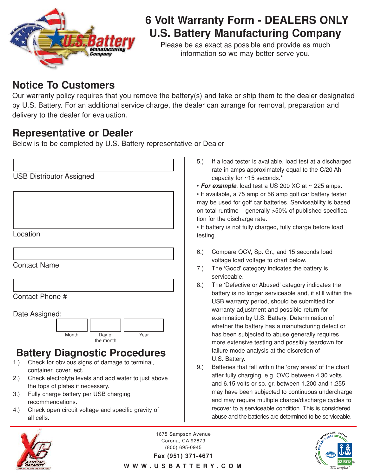

## **6 Volt Warranty Form - DEALERS ONLY U.S. Battery Manufacturing Company**

Please be as exact as possible and provide as much information so we may better serve you.

### **Notice To Customers**

Our warranty policy requires that you remove the battery(s) and take or ship them to the dealer designated by U.S. Battery. For an additional service charge, the dealer can arrange for removal, preparation and delivery to the dealer for evaluation.

### **Representative or Dealer**

Below is to be completed by U.S. Battery representative or Dealer

| <b>USB Distributor Assigned</b>      |                                                                                |  |
|--------------------------------------|--------------------------------------------------------------------------------|--|
|                                      |                                                                                |  |
|                                      |                                                                                |  |
|                                      |                                                                                |  |
|                                      |                                                                                |  |
|                                      | Location                                                                       |  |
|                                      |                                                                                |  |
|                                      | <b>Contact Name</b>                                                            |  |
|                                      |                                                                                |  |
|                                      |                                                                                |  |
| Contact Phone #                      |                                                                                |  |
| Date Assigned:                       |                                                                                |  |
|                                      |                                                                                |  |
|                                      | Month<br>Day of<br>Year<br>the month                                           |  |
| <b>Battery Diagnostic Procedures</b> |                                                                                |  |
| 1.)                                  | Check for obvious signs of damage to terminal,                                 |  |
| 2.)                                  | container, cover, ect.<br>Check electrolyte levels and add water to just above |  |
|                                      | the tops of plates if necessary.                                               |  |
| 3.)                                  | Fully charge battery per USB charging<br>recommendations.                      |  |

4.) Check open circuit voltage and specific gravity of all cells.

- 5.) If a load tester is available, load test at a discharged rate in amps approximately equal to the C/20 Ah capacity for ~15 seconds.\*
- **For example**, load test a US 200 XC at ~ 225 amps.

• If available, a 75 amp or 56 amp golf car battery tester may be used for golf car batteries. Serviceability is based on total runtime – generally >50% of published specification for the discharge rate.

• If battery is not fully charged, fully charge before load testing.

- 6.) Compare OCV, Sp. Gr., and 15 seconds load voltage load voltage to chart below.
- 7.) The 'Good' category indicates the battery is serviceable.
- 8.) The 'Defective or Abused' category indicates the battery is no longer serviceable and, if still within the USB warranty period, should be submitted for warranty adjustment and possible return for examination by U.S. Battery. Determination of whether the battery has a manufacturing defect or has been subjected to abuse generally requires more extensive testing and possibly teardown for failure mode analysis at the discretion of U.S. Battery.
- 9.) Batteries that fall within the 'gray areas' of the chart after fully charging, e.g. OVC between 4.30 volts and 6.15 volts or sp. gr. between 1.200 and 1.255 may have been subjected to continuous undercharge and may require multiple charge/discharge cycles to recover to a serviceable condition. This is considered abuse and the batteries are determined to be serviceable.



1675 Sampson Avenue Corona, CA 92879 (800) 695-0945



**Fax (951) 371-4671** WWW.USBATTERY.COM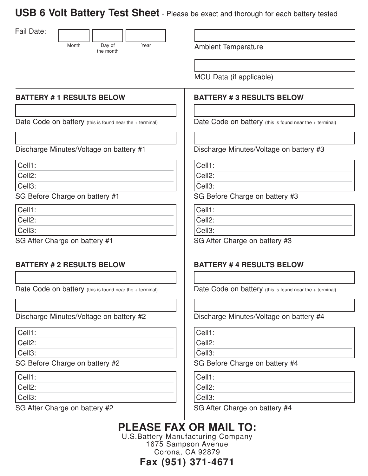**USB 6 Volt Battery Test Sheet** - Please be exact and thorough for each battery tested

Fail Date:



Year **Ambient Temperature** 

MCU Data (if applicable)

#### **BATTERY # 3 RESULTS BELOW**

Date Code on battery (this is found near the + terminal)

Discharge Minutes/Voltage on battery #3

Cell1:

Cell2:

Cell3:

SG Before Charge on battery #3

Cell1:

Cell2:

Cell3:

SG After Charge on battery #3

#### **BATTERY # 4 RESULTS BELOW**

Date Code on battery (this is found near the + terminal)

Discharge Minutes/Voltage on battery #4

Cell1:

Cell2:

Cell3:

SG Before Charge on battery #4

Cell1:

Cell2:

Cell3:

SG After Charge on battery #4

## **PLEASE FAX OR MAIL TO:**

U.S.Battery Manufacturing Company 1675 Sampson Avenue Corona, CA 92879

**Fax (951) 371-4671**

**BATTERY # 2 RESULTS BELOW**

Cell1: Cell2: Cell3:

Cell1: Cell2: Cell3:

Date Code on battery (this is found near the + terminal)

**BATTERY # 1 RESULTS BELOW**

Date Code on battery (this is found near the + terminal)

Discharge Minutes/Voltage on battery #1

SG Before Charge on battery #1

SG After Charge on battery #1

Discharge Minutes/Voltage on battery #2

Cell1:

Cell2:

Cell3:

SG Before Charge on battery #2

Cell1:

Cell2:

Cell3:

SG After Charge on battery #2